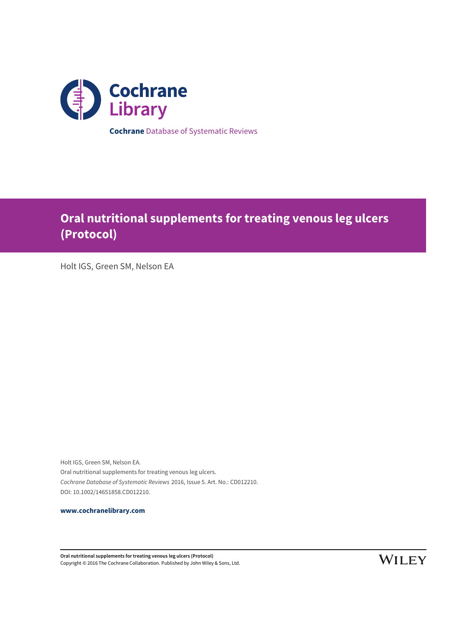

**Oral nutritional supplements for treating venous leg ulcers (Protocol)**

Holt IGS, Green SM, Nelson EA

Holt IGS, Green SM, Nelson EA. Oral nutritional supplements for treating venous leg ulcers. Cochrane Database of Systematic Reviews 2016, Issue 5. Art. No.: CD012210. DOI: 10.1002/14651858.CD012210.

**[www.cochranelibrary.com](http://www.cochranelibrary.com)**

**Oral nutritional supplements for treating venous leg ulcers (Protocol)** Copyright © 2016 The Cochrane Collaboration. Published by John Wiley & Sons, Ltd.

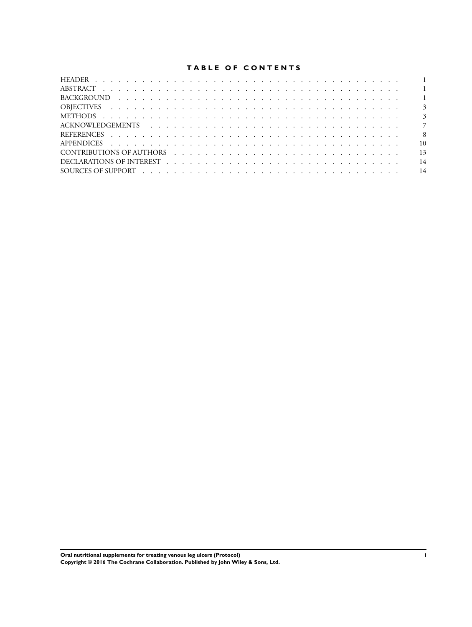# **TABLE OF CONTENTS**

|  | $\overline{8}$  |
|--|-----------------|
|  | $\overline{10}$ |
|  | 13              |
|  |                 |
|  |                 |

**Oral nutritional supplements for treating venous leg ulcers (Protocol) i Copyright © 2016 The Cochrane Collaboration. Published by John Wiley & Sons, Ltd.**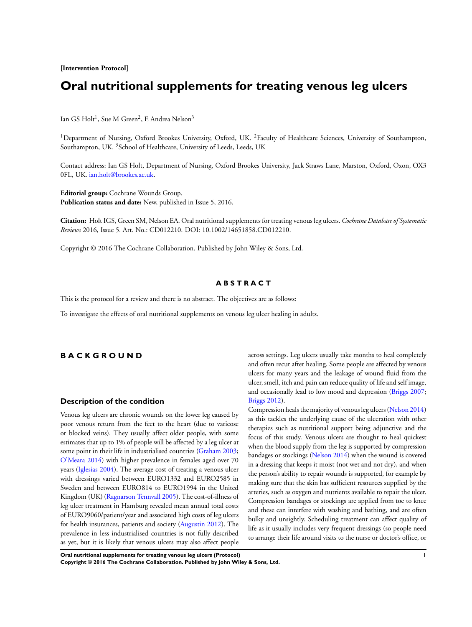<span id="page-2-0"></span>**[Intervention Protocol]**

# **Oral nutritional supplements for treating venous leg ulcers**

Ian GS Holt<sup>1</sup>, Sue M Green<sup>2</sup>, E Andrea Nelson<sup>3</sup>

<sup>1</sup>Department of Nursing, Oxford Brookes University, Oxford, UK. <sup>2</sup>Faculty of Healthcare Sciences, University of Southampton, Southampton, UK.<sup>3</sup>School of Healthcare, University of Leeds, Leeds, UK

Contact address: Ian GS Holt, Department of Nursing, Oxford Brookes University, Jack Straws Lane, Marston, Oxford, Oxon, OX3 0FL, UK. [ian.holt@brookes.ac.uk.](mailto:ian.holt@brookes.ac.uk)

**Editorial group:** Cochrane Wounds Group. **Publication status and date:** New, published in Issue 5, 2016.

**Citation:** Holt IGS, Green SM, Nelson EA. Oral nutritional supplements for treating venous leg ulcers. *Cochrane Database of Systematic Reviews* 2016, Issue 5. Art. No.: CD012210. DOI: 10.1002/14651858.CD012210.

Copyright © 2016 The Cochrane Collaboration. Published by John Wiley & Sons, Ltd.

# **A B S T R A C T**

This is the protocol for a review and there is no abstract. The objectives are as follows:

To investigate the effects of oral nutritional supplements on venous leg ulcer healing in adults.

# **B A C K G R O U N D**

# **Description of the condition**

Venous leg ulcers are chronic wounds on the lower leg caused by poor venous return from the feet to the heart (due to varicose or blocked veins). They usually affect older people, with some estimates that up to 1% of people will be affected by a leg ulcer at some point in their life in industrialised countries ([Graham 2003;](#page-9-0) [O'Meara 2014](#page-9-0)) with higher prevalence in females aged over 70 years ([Iglesias 2004\)](#page-9-0). The average cost of treating a venous ulcer with dressings varied between EURO1332 and EURO2585 in Sweden and between EURO814 to EURO1994 in the United Kingdom (UK) [\(Ragnarson Tennvall 2005](#page-9-0)). The cost-of-illness of leg ulcer treatment in Hamburg revealed mean annual total costs of EURO9060/patient/year and associated high costs of leg ulcers for health insurances, patients and society ([Augustin 2012](#page-9-0)). The prevalence in less industrialised countries is not fully described as yet, but it is likely that venous ulcers may also affect people

across settings. Leg ulcers usually take months to heal completely and often recur after healing. Some people are affected by venous ulcers for many years and the leakage of wound fluid from the ulcer, smell, itch and pain can reduce quality of life and self image, and occasionally lead to low mood and depression ([Briggs 2007;](#page-9-0) [Briggs 2012\)](#page-9-0).

Compression heals the majority of venous leg ulcers [\(Nelson 2014](#page-9-0)) as this tackles the underlying cause of the ulceration with other therapies such as nutritional support being adjunctive and the focus of this study. Venous ulcers are thought to heal quickest when the blood supply from the leg is supported by compression bandages or stockings ([Nelson 2014](#page-9-0)) when the wound is covered in a dressing that keeps it moist (not wet and not dry), and when the person's ability to repair wounds is supported, for example by making sure that the skin has sufficient resources supplied by the arteries, such as oxygen and nutrients available to repair the ulcer. Compression bandages or stockings are applied from toe to knee and these can interfere with washing and bathing, and are often bulky and unsightly. Scheduling treatment can affect quality of life as it usually includes very frequent dressings (so people need to arrange their life around visits to the nurse or doctor's office, or

**Oral nutritional supplements for treating venous leg ulcers (Protocol) 1 Copyright © 2016 The Cochrane Collaboration. Published by John Wiley & Sons, Ltd.**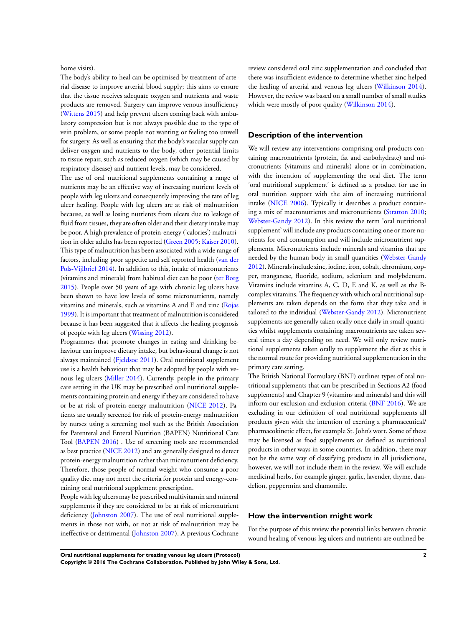home visits).

The body's ability to heal can be optimised by treatment of arterial disease to improve arterial blood supply; this aims to ensure that the tissue receives adequate oxygen and nutrients and waste products are removed. Surgery can improve venous insufficiency [\(Wittens 2015\)](#page-9-0) and help prevent ulcers coming back with ambulatory compression but is not always possible due to the type of vein problem, or some people not wanting or feeling too unwell for surgery. As well as ensuring that the body's vascular supply can deliver oxygen and nutrients to the body, other potential limits to tissue repair, such as reduced oxygen (which may be caused by respiratory disease) and nutrient levels, may be considered.

The use of oral nutritional supplements containing a range of nutrients may be an effective way of increasing nutrient levels of people with leg ulcers and consequently improving the rate of leg ulcer healing. People with leg ulcers are at risk of malnutrition because, as well as losing nutrients from ulcers due to leakage of fluid from tissues, they are often older and their dietary intake may be poor. A high prevalence of protein-energy ('calories') malnutrition in older adults has been reported [\(Green 2005](#page-9-0); [Kaiser 2010](#page-9-0)). This type of malnutrition has been associated with a wide range of factors, including poor appetite and self reported health ([van der](#page-9-0) [Pols-Vijlbrief 2014\)](#page-9-0). In addition to this, intake of micronutrients (vitamins and minerals) from habitual diet can be poor ([ter Borg](#page-9-0) [2015](#page-9-0)). People over 50 years of age with chronic leg ulcers have been shown to have low levels of some micronutrients, namely vitamins and minerals, such as vitamins A and E and zinc [\(Rojas](#page-9-0) [1999](#page-9-0)). It is important that treatment of malnutrition is considered because it has been suggested that it affects the healing prognosis of people with leg ulcers [\(Wissing 2012](#page-9-0)).

Programmes that promote changes in eating and drinking behaviour can improve dietary intake, but behavioural change is not always maintained ([Fjeldsoe 2011\)](#page-9-0). Oral nutritional supplement use is a health behaviour that may be adopted by people with venous leg ulcers ([Miller 2014](#page-9-0)). Currently, people in the primary care setting in the UK may be prescribed oral nutritional supplements containing protein and energy if they are considered to have or be at risk of protein-energy malnutrition ([NICE 2012\)](#page-9-0). Patients are usually screened for risk of protein-energy malnutrition by nurses using a screening tool such as the British Association for Parenteral and Enteral Nutrition (BAPEN) Nutritional Care Tool ([BAPEN 2016](#page-9-0)) . Use of screening tools are recommended as best practice [\(NICE 2012](#page-9-0)) and are generally designed to detect protein-energy malnutrition rather than micronutrient deficiency. Therefore, those people of normal weight who consume a poor quality diet may not meet the criteria for protein and energy-containing oral nutritional supplement prescription.

People with leg ulcers may be prescribed multivitamin and mineral supplements if they are considered to be at risk of micronutrient deficiency ([Johnston 2007](#page-9-0)). The use of oral nutritional supplements in those not with, or not at risk of malnutrition may be ineffective or detrimental ([Johnston 2007\)](#page-9-0). A previous Cochrane

review considered oral zinc supplementation and concluded that there was insufficient evidence to determine whether zinc helped the healing of arterial and venous leg ulcers [\(Wilkinson 2014](#page-9-0)). However, the review was based on a small number of small studies which were mostly of poor quality [\(Wilkinson 2014\)](#page-9-0).

### **Description of the intervention**

We will review any interventions comprising oral products containing macronutrients (protein, fat and carbohydrate) and micronutrients (vitamins and minerals) alone or in combination, with the intention of supplementing the oral diet. The term 'oral nutritional supplement' is defined as a product for use in oral nutrition support with the aim of increasing nutritional intake [\(NICE 2006](#page-9-0)). Typically it describes a product containing a mix of macronutrients and micronutrients [\(Stratton 2010;](#page-9-0) [Webster-Gandy 2012\)](#page-9-0). In this review the term 'oral nutritional supplement' will include any products containing one or more nutrients for oral consumption and will include micronutrient supplements. Micronutrients include minerals and vitamins that are needed by the human body in small quantities [\(Webster-Gandy](#page-9-0) [2012](#page-9-0)). Minerals include zinc, iodine, iron, cobalt, chromium, copper, manganese, fluoride, sodium, selenium and molybdenum. Vitamins include vitamins A, C, D, E and K, as well as the Bcomplex vitamins. The frequency with which oral nutritional supplements are taken depends on the form that they take and is tailored to the individual ([Webster-Gandy 2012\)](#page-9-0). Micronutrient supplements are generally taken orally once daily in small quantities whilst supplements containing macronutrients are taken several times a day depending on need. We will only review nutritional supplements taken orally to supplement the diet as this is the normal route for providing nutritional supplementation in the primary care setting.

The British National Formulary (BNF) outlines types of oral nutritional supplements that can be prescribed in Sections A2 (food supplements) and Chapter 9 (vitamins and minerals) and this will inform our exclusion and exclusion criteria ([BNF 2016](#page-9-0)). We are excluding in our definition of oral nutritional supplements all products given with the intention of exerting a pharmaceutical/ pharmacokinetic effect, for example St. John's wort. Some of these may be licensed as food supplements or defined as nutritional products in other ways in some countries. In addition, there may not be the same way of classifying products in all jurisdictions, however, we will not include them in the review. We will exclude medicinal herbs, for example ginger, garlic, lavender, thyme, dandelion, peppermint and chamomile.

# **How the intervention might work**

For the purpose of this review the potential links between chronic wound healing of venous leg ulcers and nutrients are outlined be-

**Oral nutritional supplements for treating venous leg ulcers (Protocol) 2 Copyright © 2016 The Cochrane Collaboration. Published by John Wiley & Sons, Ltd.**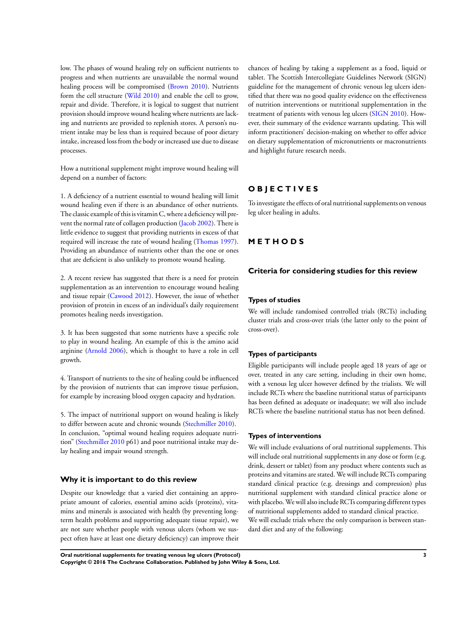low. The phases of wound healing rely on sufficient nutrients to progress and when nutrients are unavailable the normal wound healing process will be compromised ([Brown 2010](#page-9-0)). Nutrients form the cell structure [\(Wild 2010\)](#page-9-0) and enable the cell to grow, repair and divide. Therefore, it is logical to suggest that nutrient provision should improve wound healing where nutrients arelacking and nutrients are provided to replenish stores. A person's nutrient intake may be less than is required because of poor dietary intake, increased loss from the body or increased use due to disease processes.

How a nutritional supplement might improve wound healing will depend on a number of factors:

1. A deficiency of a nutrient essential to wound healing will limit wound healing even if there is an abundance of other nutrients. The classic example of this is vitamin C, where a deficiency will prevent the normal rate of collagen production [\(Jacob 2002](#page-9-0)). There is little evidence to suggest that providing nutrients in excess of that required will increase the rate of wound healing [\(Thomas 1997](#page-9-0)). Providing an abundance of nutrients other than the one or ones that are deficient is also unlikely to promote wound healing.

2. A recent review has suggested that there is a need for protein supplementation as an intervention to encourage wound healing and tissue repair ([Cawood 2012](#page-9-0)). However, the issue of whether provision of protein in excess of an individual's daily requirement promotes healing needs investigation.

3. It has been suggested that some nutrients have a specific role to play in wound healing. An example of this is the amino acid arginine [\(Arnold 2006](#page-9-0)), which is thought to have a role in cell growth.

4. Transport of nutrients to the site of healing could be influenced by the provision of nutrients that can improve tissue perfusion, for example by increasing blood oxygen capacity and hydration.

5. The impact of nutritional support on wound healing is likely to differ between acute and chronic wounds ([Stechmiller 2010](#page-9-0)). In conclusion, "optimal wound healing requires adequate nutrition" [\(Stechmiller 2010](#page-9-0) p61) and poor nutritional intake may delay healing and impair wound strength.

# **Why it is important to do this review**

Despite our knowledge that a varied diet containing an appropriate amount of calories, essential amino acids (proteins), vitamins and minerals is associated with health (by preventing longterm health problems and supporting adequate tissue repair), we are not sure whether people with venous ulcers (whom we suspect often have at least one dietary deficiency) can improve their

chances of healing by taking a supplement as a food, liquid or tablet. The Scottish Intercollegiate Guidelines Network (SIGN) guideline for the management of chronic venous leg ulcers identified that there was no good quality evidence on the effectiveness of nutrition interventions or nutritional supplementation in the treatment of patients with venous leg ulcers [\(SIGN 2010\)](#page-9-0). However, their summary of the evidence warrants updating. This will inform practitioners' decision-making on whether to offer advice on dietary supplementation of micronutrients or macronutrients and highlight future research needs.

# **O B J E C T I V E S**

To investigate the effects of oral nutritional supplements on venous leg ulcer healing in adults.

# **M E T H O D S**

# **Criteria for considering studies for this review**

# **Types of studies**

We will include randomised controlled trials (RCTs) including cluster trials and cross-over trials (the latter only to the point of cross-over).

# **Types of participants**

Eligible participants will include people aged 18 years of age or over, treated in any care setting, including in their own home, with a venous leg ulcer however defined by the trialists. We will include RCTs where the baseline nutritional status of participants has been defined as adequate or inadequate; we will also include RCTs where the baseline nutritional status has not been defined.

### **Types of interventions**

We will include evaluations of oral nutritional supplements. This will include oral nutritional supplements in any dose or form (e.g. drink, dessert or tablet) from any product where contents such as proteins and vitamins are stated. We will include RCTs comparing standard clinical practice (e.g. dressings and compression) plus nutritional supplement with standard clinical practice alone or with placebo. We will also include RCTs comparing different types of nutritional supplements added to standard clinical practice. We will exclude trials where the only comparison is between standard diet and any of the following:

**Oral nutritional supplements for treating venous leg ulcers (Protocol) 3 Copyright © 2016 The Cochrane Collaboration. Published by John Wiley & Sons, Ltd.**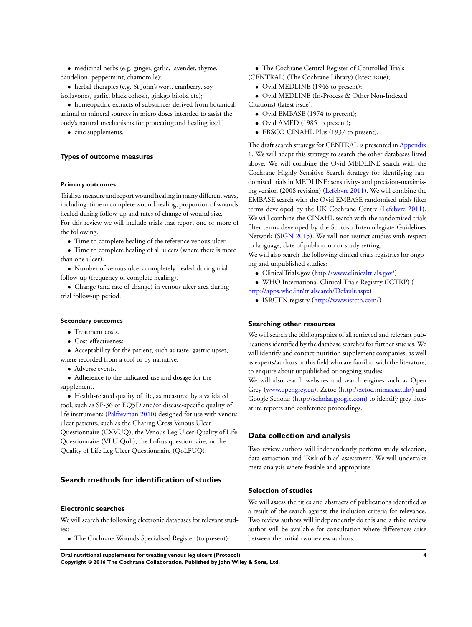• medicinal herbs (e.g. ginger, garlic, lavender, thyme, dandelion, peppermint, chamomile);

• herbal therapies (e.g. St John's wort, cranberry, soy isoflavones, garlic, black cohosh, ginkgo biloba etc);

• homeopathic extracts of substances derived from botanical, animal or mineral sources in micro doses intended to assist the body's natural mechanisms for protecting and healing itself;

• zinc supplements.

# **Types of outcome measures**

### **Primary outcomes**

Trialists measure and report wound healing in many different ways, including: time to complete wound healing, proportion of wounds healed during follow-up and rates of change of wound size.

For this review we will include trials that report one or more of the following.

• Time to complete healing of the reference venous ulcer.

• Time to complete healing of all ulcers (where there is more than one ulcer).

• Number of venous ulcers completely healed during trial follow-up (frequency of complete healing).

• Change (and rate of change) in venous ulcer area during trial follow-up period.

### **Secondary outcomes**

- Treatment costs.
- Cost-effectiveness.

• Acceptability for the patient, such as taste, gastric upset, where recorded from a tool or by narrative.

• Adverse events.

• Adherence to the indicated use and dosage for the supplement.

• Health-related quality of life, as measured by a validated tool, such as SF-36 or EQ5D and/or disease-specific quality of life instruments ([Palfreyman 2010\)](#page-9-0) designed for use with venous ulcer patients, such as the Charing Cross Venous Ulcer Questionnaire (CXVUQ), the Venous Leg Ulcer-Quality of Life Questionnaire (VLU-QoL), the Loftus questionnaire, or the Quality of Life Leg Ulcer Questionnaire (QoLFUQ).

# **Search methods for identification of studies**

### **Electronic searches**

We will search the following electronic databases for relevant studies:

• The Cochrane Wounds Specialised Register (to present);

• The Cochrane Central Register of Controlled Trials (CENTRAL) (The Cochrane Library) (latest issue);

• Ovid MEDLINE (1946 to present);

• Ovid MEDLINE (In-Process & Other Non-Indexed Citations) (latest issue);

- Ovid EMBASE (1974 to present);
- Ovid AMED (1985 to present);
- EBSCO CINAHL Plus (1937 to present).

The draft search strategy for CENTRAL is presented in [Appendix](#page-11-0) [1.](#page-11-0) We will adapt this strategy to search the other databases listed above. We will combine the Ovid MEDLINE search with the Cochrane Highly Sensitive Search Strategy for identifying randomised trials in MEDLINE: sensitivity- and precision-maximising version (2008 revision) [\(Lefebvre 2011\)](#page-9-0). We will combine the EMBASE search with the Ovid EMBASE randomised trials filter terms developed by the UK Cochrane Centre [\(Lefebvre 2011](#page-9-0)). We will combine the CINAHL search with the randomised trials filter terms developed by the Scottish Intercollegiate Guidelines Network [\(SIGN 2015](#page-9-0)). We will not restrict studies with respect to language, date of publication or study setting.

We will also search the following clinical trials registries for ongoing and unpublished studies:

- ClinicalTrials.gov (<http://www.clinicaltrials.gov/>)
- WHO International Clinical Trials Registry (ICTRP) (

<http://apps.who.int/trialsearch/Default.aspx>)

• ISRCTN registry [\(http://www.isrctn.com/\)](http://www.isrctn.com/)

# **Searching other resources**

We will search the bibliographies of all retrieved and relevant publications identified by the database searches for further studies. We will identify and contact nutrition supplement companies, as well as experts/authors in this field who are familiar with the literature, to enquire about unpublished or ongoing studies.

We will also search websites and search engines such as Open Grey ([www.opengrey.eu\)](http://www.opengrey.eu), Zetoc ([http://zetoc.mimas.ac.uk/\)](http://zetoc.mimas.ac.uk/) and Google Scholar (<http://scholar.google.com>) to identify grey literature reports and conference proceedings.

# **Data collection and analysis**

Two review authors will independently perform study selection, data extraction and 'Risk of bias' assessment. We will undertake meta-analysis where feasible and appropriate.

## **Selection of studies**

We will assess the titles and abstracts of publications identified as a result of the search against the inclusion criteria for relevance. Two review authors will independently do this and a third review author will be available for consultation where differences arise between the initial two review authors.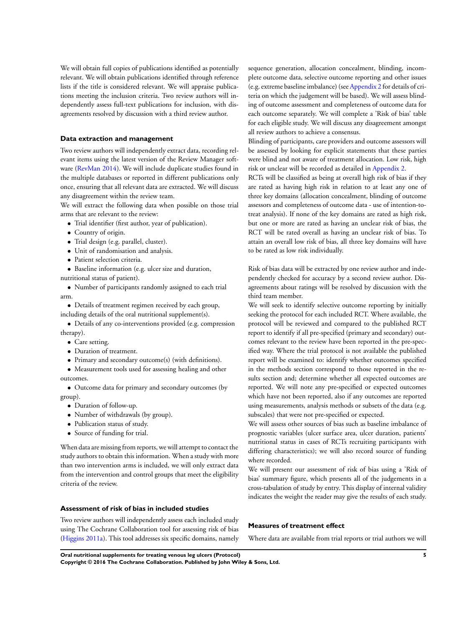We will obtain full copies of publications identified as potentially relevant. We will obtain publications identified through reference lists if the title is considered relevant. We will appraise publications meeting the inclusion criteria. Two review authors will independently assess full-text publications for inclusion, with disagreements resolved by discussion with a third review author.

### **Data extraction and management**

Two review authors will independently extract data, recording relevant items using the latest version of the Review Manager software [\(RevMan 2014](#page-9-0)). We will include duplicate studies found in the multiple databases or reported in different publications only once, ensuring that all relevant data are extracted. We will discuss any disagreement within the review team.

We will extract the following data when possible on those trial arms that are relevant to the review:

- Trial identifier (first author, year of publication).
- Country of origin.
- Trial design (e.g. parallel, cluster).
- Unit of randomisation and analysis.
- Patient selection criteria.

• Baseline information (e.g. ulcer size and duration, nutritional status of patient).

- Number of participants randomly assigned to each trial arm.
	- Details of treatment regimen received by each group,

including details of the oral nutritional supplement(s).

• Details of any co-interventions provided (e.g. compression therapy).

- Care setting.
- Duration of treatment.
- Primary and secondary outcome(s) (with definitions).

• Measurement tools used for assessing healing and other outcomes.

• Outcome data for primary and secondary outcomes (by group).

- Duration of follow-up.
- Number of withdrawals (by group).
- Publication status of study.
- Source of funding for trial.

When data are missing from reports, we will attempt to contact the study authors to obtain this information. When a study with more than two intervention arms is included, we will only extract data from the intervention and control groups that meet the eligibility criteria of the review.

# **Assessment of risk of bias in included studies**

Two review authors will independently assess each included study using The Cochrane Collaboration tool for assessing risk of bias [\(Higgins 2011a](#page-9-0)). This tool addresses six specific domains, namely

sequence generation, allocation concealment, blinding, incomplete outcome data, selective outcome reporting and other issues (e.g. extreme baseline imbalance) (see [Appendix 2](#page-12-0) for details of criteria on which the judgement will be based). We will assess blinding of outcome assessment and completeness of outcome data for each outcome separately. We will complete a 'Risk of bias' table for each eligible study. We will discuss any disagreement amongst all review authors to achieve a consensus.

Blinding of participants, care providers and outcome assessors will be assessed by looking for explicit statements that these parties were blind and not aware of treatment allocation. Low risk, high risk or unclear will be recorded as detailed in [Appendix 2.](#page-12-0)

RCTs will be classified as being at overall high risk of bias if they are rated as having high risk in relation to at least any one of three key domains (allocation concealment, blinding of outcome assessors and completeness of outcome data - use of intention-totreat analysis). If none of the key domains are rated as high risk, but one or more are rated as having an unclear risk of bias, the RCT will be rated overall as having an unclear risk of bias. To attain an overall low risk of bias, all three key domains will have to be rated as low risk individually.

Risk of bias data will be extracted by one review author and independently checked for accuracy by a second review author. Disagreements about ratings will be resolved by discussion with the third team member.

We will seek to identify selective outcome reporting by initially seeking the protocol for each included RCT. Where available, the protocol will be reviewed and compared to the published RCT report to identify if all pre-specified (primary and secondary) outcomes relevant to the review have been reported in the pre-specified way. Where the trial protocol is not available the published report will be examined to: identify whether outcomes specified in the methods section correspond to those reported in the results section and; determine whether all expected outcomes are reported. We will note any pre-specified or expected outcomes which have not been reported, also if any outcomes are reported using measurements, analysis methods or subsets of the data (e.g. subscales) that were not pre-specified or expected.

We will assess other sources of bias such as baseline imbalance of prognostic variables (ulcer surface area, ulcer duration, patients' nutritional status in cases of RCTs recruiting participants with differing characteristics); we will also record source of funding where recorded.

We will present our assessment of risk of bias using a 'Risk of bias' summary figure, which presents all of the judgements in a cross-tabulation of study by entry. This display of internal validity indicates the weight the reader may give the results of each study.

# **Measures of treatment effect**

Where data are available from trial reports or trial authors we will

**Oral nutritional supplements for treating venous leg ulcers (Protocol) 5**

**Copyright © 2016 The Cochrane Collaboration. Published by John Wiley & Sons, Ltd.**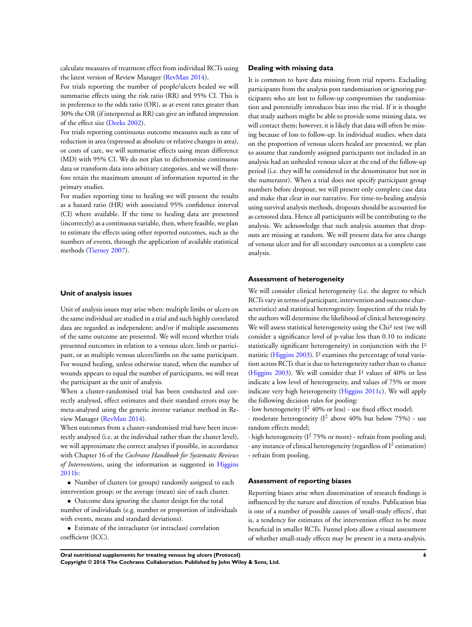calculate measures of treatment effect from individual RCTs using the latest version of Review Manager ([RevMan 2014\)](#page-9-0).

For trials reporting the number of people/ulcers healed we will summarise effects using the risk ratio (RR) and 95% CI. This is in preference to the odds ratio (OR), as at event rates greater than 30% the OR (if interpreted as RR) can give an inflated impression of the effect size ([Deeks 2002](#page-9-0)).

For trials reporting continuous outcome measures such as rate of reduction in area (expressed as absolute or relative changes in area), or costs of care, we will summarise effects using mean difference (MD) with 95% CI. We do not plan to dichotomise continuous data or transform data into arbitrary categories, and we will therefore retain the maximum amount of information reported in the primary studies.

For studies reporting time to healing we will present the results as a hazard ratio (HR) with associated 95% confidence interval (CI) where available. If the time to healing data are presented (incorrectly) as a continuous variable, then, where feasible, we plan to estimate the effects using other reported outcomes, such as the numbers of events, through the application of available statistical methods [\(Tierney 2007](#page-9-0)).

## **Dealing with missing data**

It is common to have data missing from trial reports. Excluding participants from the analysis post randomisation or ignoring participants who are lost to follow-up compromises the randomisation and potentially introduces bias into the trial. If it is thought that study authors might be able to provide some missing data, we will contact them; however, it is likely that data will often be missing because of loss to follow-up. In individual studies, when data on the proportion of venous ulcers healed are presented, we plan to assume that randomly assigned participants not included in an analysis had an unhealed venous ulcer at the end of the follow-up period (i.e. they will be considered in the denominator but not in the numerator). When a trial does not specify participant group numbers before dropout, we will present only complete case data and make that clear in our narrative. For time-to-healing analysis using survival analysis methods, dropouts should be accounted for as censored data. Hence all participants will be contributing to the analysis. We acknowledge that such analysis assumes that dropouts are missing at random. We will present data for area change of venous ulcer and for all secondary outcomes as a complete case analysis.

### **Assessment of heterogeneity**

# **Unit of analysis issues**

Unit of analysis issues may arise when: multiple limbs or ulcers on the same individual are studied in a trial and such highly correlated data are regarded as independent; and/or if multiple assessments of the same outcome are presented. We will record whether trials presented outcomes in relation to a venous ulcer, limb or participant, or as multiple venous ulcers/limbs on the same participant. For wound healing, unless otherwise stated, when the number of wounds appears to equal the number of participants, we will treat the participant as the unit of analysis.

When a cluster-randomised trial has been conducted and correctly analysed, effect estimates and their standard errors may be meta-analysed using the generic inverse variance method in Review Manager ([RevMan 2014\)](#page-9-0).

When outcomes from a cluster-randomised trial have been incorrectly analysed (i.e. at the individual rather than the cluster level), we will approximate the correct analyses if possible, in accordance with Chapter 16 of the *Cochrane Handbook for Systematic Reviews of Interventions*, using the information as suggested in [Higgins](#page-9-0) [2011b:](#page-9-0)

• Number of clusters (or groups) randomly assigned to each intervention group; or the average (mean) size of each cluster.

• Outcome data ignoring the cluster design for the total number of individuals (e.g. number or proportion of individuals

with events, means and standard deviations).

• Estimate of the intracluster (or intraclass) correlation coefficient (ICC).

We will consider clinical heterogeneity (i.e. the degree to which RCTs vary in terms of participant, intervention and outcome characteristics) and statistical heterogeneity. Inspection of the trials by the authors will determine the likelihood of clinical heterogeneity. We will assess statistical heterogeneity using the Chi<sup>2</sup> test (we will consider a significance level of p-value less than 0.10 to indicate statistically significant heterogeneity) in conjunction with the I² statistic [\(Higgins 2003](#page-9-0)). I² examines the percentage of total variation across RCTs that is due to heterogeneity rather than to chance [\(Higgins 2003\)](#page-9-0). We will consider that I² values of 40% or less indicate a low level of heterogeneity, and values of 75% or more indicate very high heterogeneity ([Higgins 2011c](#page-9-0)). We will apply the following decision rules for pooling:

 $\cdot$  low heterogeneity (I<sup>2</sup> 40% or less) - use fixed effect model;

 $\cdot$  moderate heterogeneity ( $I^2$  above 40% but below 75%) - use random effects model;

- $\cdot$  high heterogeneity (I<sup>2</sup> 75% or more) refrain from pooling and;  $\cdot$  any instance of clinical heterogeneity (regardless of  $I^{\bar{2}}$  estimation)
- refrain from pooling.

# **Assessment of reporting biases**

Reporting biases arise when dissemination of research findings is influenced by the nature and direction of results. Publication bias is one of a number of possible causes of 'small-study effects', that is, a tendency for estimates of the intervention effect to be more beneficial in smaller RCTs. Funnel plots allow a visual assessment of whether small-study effects may be present in a meta-analysis.

**Oral nutritional supplements for treating venous leg ulcers (Protocol) 6 Copyright © 2016 The Cochrane Collaboration. Published by John Wiley & Sons, Ltd.**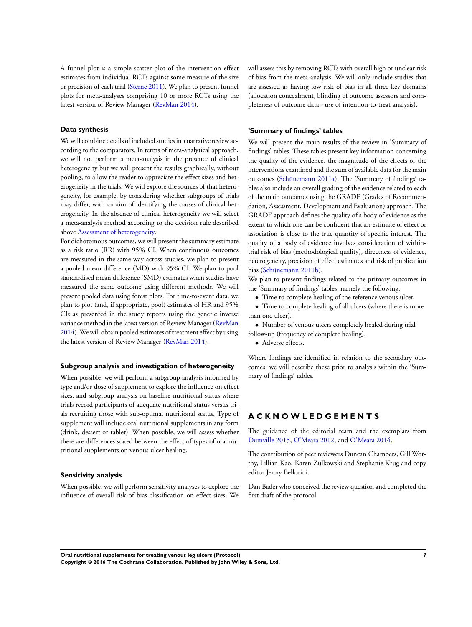A funnel plot is a simple scatter plot of the intervention effect estimates from individual RCTs against some measure of the size or precision of each trial ([Sterne 2011](#page-9-0)). We plan to present funnel plots for meta-analyses comprising 10 or more RCTs using the latest version of Review Manager ([RevMan 2014](#page-9-0)).

# **Data synthesis**

We will combine details of included studies in a narrative review according to the comparators. In terms of meta-analytical approach, we will not perform a meta-analysis in the presence of clinical heterogeneity but we will present the results graphically, without pooling, to allow the reader to appreciate the effect sizes and heterogeneity in the trials. We will explore the sources of that heterogeneity, for example, by considering whether subgroups of trials may differ, with an aim of identifying the causes of clinical heterogeneity. In the absence of clinical heterogeneity we will select a meta-analysis method according to the decision rule described above [Assessment of heterogeneity](#page-2-0).

For dichotomous outcomes, we will present the summary estimate as a risk ratio (RR) with 95% CI. When continuous outcomes are measured in the same way across studies, we plan to present a pooled mean difference (MD) with 95% CI. We plan to pool standardised mean difference (SMD) estimates when studies have measured the same outcome using different methods. We will present pooled data using forest plots. For time-to-event data, we plan to plot (and, if appropriate, pool) estimates of HR and 95% CIs as presented in the study reports using the generic inverse variance method in the latest version of Review Manager ([RevMan](#page-9-0) [2014](#page-9-0)).We will obtain pooled estimates of treatment effect by using the latest version of Review Manager ([RevMan 2014\)](#page-9-0).

#### **Subgroup analysis and investigation of heterogeneity**

When possible, we will perform a subgroup analysis informed by type and/or dose of supplement to explore the influence on effect sizes, and subgroup analysis on baseline nutritional status where trials record participants of adequate nutritional status versus trials recruiting those with sub-optimal nutritional status. Type of supplement will include oral nutritional supplements in any form (drink, dessert or tablet). When possible, we will assess whether there are differences stated between the effect of types of oral nutritional supplements on venous ulcer healing.

# **Sensitivity analysis**

When possible, we will perform sensitivity analyses to explore the influence of overall risk of bias classification on effect sizes. We

will assess this by removing RCTs with overall high or unclear risk of bias from the meta-analysis. We will only include studies that are assessed as having low risk of bias in all three key domains (allocation concealment, blinding of outcome assessors and completeness of outcome data - use of intention-to-treat analysis).

### **'Summary of findings' tables**

We will present the main results of the review in 'Summary of findings' tables. These tables present key information concerning the quality of the evidence, the magnitude of the effects of the interventions examined and the sum of available data for the main outcomes [\(Schünemann 2011a\)](#page-9-0). The 'Summary of findings' tables also include an overall grading of the evidence related to each of the main outcomes using the GRADE (Grades of Recommendation, Assessment, Development and Evaluation) approach. The GRADE approach defines the quality of a body of evidence as the extent to which one can be confident that an estimate of effect or association is close to the true quantity of specific interest. The quality of a body of evidence involves consideration of withintrial risk of bias (methodological quality), directness of evidence, heterogeneity, precision of effect estimates and risk of publication bias ([Schünemann 2011b](#page-9-0)).

We plan to present findings related to the primary outcomes in the 'Summary of findings' tables, namely the following.

- Time to complete healing of the reference venous ulcer.
- Time to complete healing of all ulcers (where there is more than one ulcer).

• Number of venous ulcers completely healed during trial follow-up (frequency of complete healing).

• Adverse effects.

Where findings are identified in relation to the secondary outcomes, we will describe these prior to analysis within the 'Summary of findings' tables.

# **A C K N O W L E D G E M E N T S**

The guidance of the editorial team and the exemplars from [Dumville 2015](#page-9-0), [O'Meara 2012](#page-9-0), and [O'Meara 2014](#page-9-0).

The contribution of peer reviewers Duncan Chambers, Gill Worthy, Lillian Kao, Karen Zulkowski and Stephanie Krug and copy editor Jenny Bellorini.

Dan Bader who conceived the review question and completed the first draft of the protocol.

**Oral nutritional supplements for treating venous leg ulcers (Protocol) 7 Copyright © 2016 The Cochrane Collaboration. Published by John Wiley & Sons, Ltd.**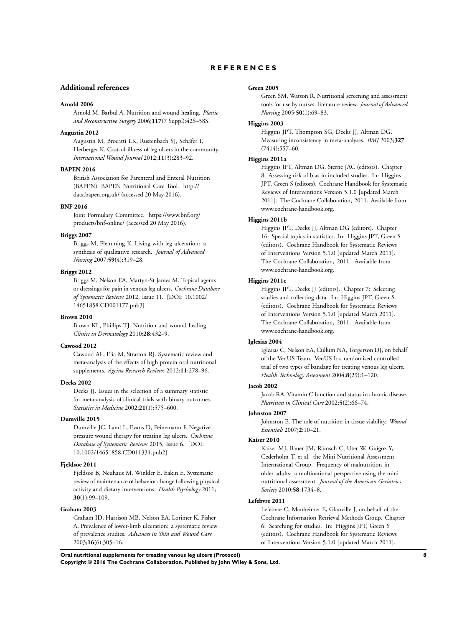# <span id="page-9-0"></span>**Additional references**

### **Arnold 2006**

Arnold M, Barbul A. Nutrition and wound healing. *Plastic and Reconstructive Surgery* 2006;**117**(7 Suppl):42S–58S.

# **Augustin 2012**

Augustin M, Brocatti LK, Rustenbach SJ, Schäfer I, Herberger K. Cost-of-illness of leg ulcers in the community. *International Wound Journal* 2012;**11**(3):283–92.

### **BAPEN 2016**

British Association for Parenteral and Enteral Nutrition (BAPEN). BAPEN Nutritional Care Tool. http:// data.bapen.org.uk/ (accessed 20 May 2016).

### **BNF 2016**

Joint Formulary Committee. https://www.bnf.org/ products/bnf-online/ (accessed 20 May 2016).

# **Briggs 2007**

Briggs M, Flemming K. Living with leg ulceration: a synthesis of qualitative research. *Journal of Advanced Nursing* 2007;**59**(4):319–28.

# **Briggs 2012**

Briggs M, Nelson EA, Martyn-St James M. Topical agents or dressings for pain in venous leg ulcers. *Cochrane Database of Systematic Reviews* 2012, Issue 11. [DOI: 10.1002/ 14651858.CD001177.pub3]

#### **Brown 2010**

Brown KL, Phillips TJ. Nutrition and wound healing. *Clinics in Dermatology* 2010;**28**:432–9.

### **Cawood 2012**

Cawood AL, Elia M, Stratton RJ. Systematic review and meta-analysis of the effects of high protein oral nutritional supplements. *Ageing Research Reviews* 2012;**11**:278–96.

#### **Deeks 2002**

Deeks JJ. Issues in the selection of a summary statistic for meta-analysis of clinical trials with binary outcomes. *Statistics in Medicine* 2002;**21**(1):575–600.

### **Dumville 2015**

Dumville JC, Land L, Evans D, Peinemann F. Negative pressure wound therapy for treating leg ulcers. *Cochrane Database of Systematic Reviews* 2015, Issue 6. [DOI: 10.1002/14651858.CD011334.pub2]

## **Fjeldsoe 2011**

Fjeldsoe B, Neuhaus M, Winkler E, Eakin E. Systematic review of maintenance of behavior change following physical activity and dietary interventions. *Health Psychology* 2011; **30**(1):99–109.

### **Graham 2003**

Graham ID, Harrison MB, Nelson EA, Lorimer K, Fisher A. Prevalence of lower-limb ulceration: a systematic review of prevalence studies. *Advances in Skin and Wound Care* 2003;**16**(6):305–16.

#### **Green 2005**

Green SM, Watson R. Nutritional screening and assessment tools for use by nurses: literature review. *Journal of Advanced Nursing* 2005;**50**(1):69–83.

# **Higgins 2003**

Higgins JPT, Thompson SG, Deeks JJ, Altman DG. Measuring inconsistency in meta-analyses. *BMJ* 2003;**327** (7414):557–60.

# **Higgins 2011a**

Higgins JPT, Altman DG, Sterne JAC (editors). Chapter 8: Assessing risk of bias in included studies. In: Higgins JPT, Green S (editors). Cochrane Handbook for Systematic Reviews of Interventions Version 5.1.0 [updated March 2011]. The Cochrane Collaboration, 2011. Available from www.cochrane-handbook.org.

# **Higgins 2011b**

Higgins JPT, Deeks JJ, Altman DG (editors). Chapter 16: Special topics in statistics. In: Higgins JPT, Green S (editors). Cochrane Handbook for Systematic Reviews of Interventions Version 5.1.0 [updated March 2011]. The Cochrane Collaboration, 2011. Available from www.cochrane-handbook.org.

## **Higgins 2011c**

Higgins JPT, Deeks JJ (editors). Chapter 7: Selecting studies and collecting data. In: Higgins JPT, Green S (editors). Cochrane Handbook for Systematic Reviews of Interventions Version 5.1.0 [updated March 2011]. The Cochrane Collaboration, 2011. Available from www.cochrane-handbook.org.

### **Iglesias 2004**

Iglesias C, Nelson EA, Cullum NA, Torgerson DJ, on behalf of the VenUS Team. VenUS I: a randomised controlled trial of two types of bandage for treating venous leg ulcers. *Health Technology Assessment* 2004;**8**(29):1–120.

# **Jacob 2002**

Jacob RA. Vitamin C function and status in chronic disease. *Nutrition in Clinical Care* 2002;**5**(2):66–74.

#### **Johnston 2007**

Johnston E. The role of nutrition in tissue viability. *Wound Essentials* 2007;**2**:10–21.

#### **Kaiser 2010**

Kaiser MJ, Bauer JM, Rämsch C, Uter W, Guigoz Y, Cederholm T, et al. the Mini Nutritional Assessment International Group. Frequency of malnutrition in older adults: a multinational perspective using the mini nutritional assessment. *Journal of the American Geriatrics Society* 2010;**58**:1734–8.

### **Lefebvre 2011**

Lefebvre C, Manheimer E, Glanville J, on behalf of the Cochrane Information Retrieval Methods Group. Chapter 6: Searching for studies. In: Higgins JPT, Green S (editors). Cochrane Handbook for Systematic Reviews of Interventions Version 5.1.0 [updated March 2011].

**Oral nutritional supplements for treating venous leg ulcers (Protocol) 8**

**Copyright © 2016 The Cochrane Collaboration. Published by John Wiley & Sons, Ltd.**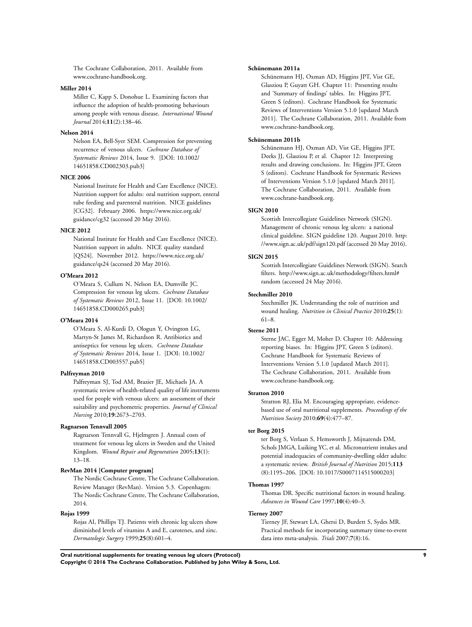The Cochrane Collaboration, 2011. Available from www.cochrane-handbook.org.

### **Miller 2014**

Miller C, Kapp S, Donohue L. Examining factors that influence the adoption of health-promoting behaviours among people with venous disease. *International Wound Journal* 2014;**11**(2):138–46.

## **Nelson 2014**

Nelson EA, Bell-Syer SEM. Compression for preventing recurrence of venous ulcers. *Cochrane Database of Systematic Reviews* 2014, Issue 9. [DOI: 10.1002/ 14651858.CD002303.pub3]

## **NICE 2006**

National Institute for Health and Care Excellence (NICE). Nutrition support for adults: oral nutrition support, enteral tube feeding and parenteral nutrition. NICE guidelines [CG32]. February 2006. https://www.nice.org.uk/ guidance/cg32 (accessed 20 May 2016).

### **NICE 2012**

National Institute for Health and Care Excellence (NICE). Nutrition support in adults. NICE quality standard [QS24]. November 2012. https://www.nice.org.uk/ guidance/qs24 (accessed 20 May 2016).

### **O'Meara 2012**

O'Meara S, Cullum N, Nelson EA, Dumville JC. Compression for venous leg ulcers. *Cochrane Database of Systematic Reviews* 2012, Issue 11. [DOI: 10.1002/ 14651858.CD000265.pub3]

## **O'Meara 2014**

O'Meara S, Al-Kurdi D, Ologun Y, Ovington LG, Martyn-St James M, Richardson R. Antibiotics and antiseptics for venous leg ulcers. *Cochrane Database of Systematic Reviews* 2014, Issue 1. [DOI: 10.1002/ 14651858.CD003557.pub5]

#### **Palfreyman 2010**

Palfreyman SJ, Tod AM, Brazier JE, Michaels JA. A systematic review of health-related quality of life instruments used for people with venous ulcers: an assessment of their suitability and psychometric properties. *Journal of Clinical Nursing* 2010;**19**:2673–2703.

# **Ragnarson Tennvall 2005**

Ragnarson Tennvall G, Hjelmgren J. Annual costs of treatment for venous leg ulcers in Sweden and the United Kingdom. *Wound Repair and Regeneration* 2005;**13**(1): 13–18.

# **RevMan 2014 [Computer program]**

The Nordic Cochrane Centre, The Cochrane Collaboration. Review Manager (RevMan). Version 5.3. Copenhagen: The Nordic Cochrane Centre, The Cochrane Collaboration, 2014.

# **Rojas 1999**

Rojas AI, Phillips TJ. Patients with chronic leg ulcers show diminished levels of vitamins A and E, carotenes, and zinc. *Dermatologic Surgery* 1999;**25**(8):601–4.

### **Schünemann 2011a**

Schünemann HJ, Oxman AD, Higgins JPT, Vist GE, Glasziou P, Guyatt GH. Chapter 11: Presenting results and 'Summary of findings' tables. In: Higgins JPT, Green S (editors). Cochrane Handbook for Systematic Reviews of Interventions Version 5.1.0 [updated March 2011]. The Cochrane Collaboration, 2011. Available from www.cochrane-handbook.org.

### **Schünemann 2011b**

Schünemann HJ, Oxman AD, Vist GE, Higgins JPT, Deeks JJ, Glasziou P, et al. Chapter 12: Interpreting results and drawing conclusions. In: Higgins JPT, Green S (editors). Cochrane Handbook for Systematic Reviews of Interventions Version 5.1.0 [updated March 2011]. The Cochrane Collaboration, 2011. Available from www.cochrane-handbook.org.

# **SIGN 2010**

Scottish Intercollegiate Guidelines Network (SIGN). Management of chronic venous leg ulcers: a national clinical guideline. SIGN guideline 120. August 2010. http: //www.sign.ac.uk/pdf/sign120.pdf (accessed 20 May 2016).

### **SIGN 2015**

Scottish Intercollegiate Guidelines Network (SIGN). Search filters. http://www.sign.ac.uk/methodology/filters.html# random (accessed 24 May 2016).

## **Stechmiller 2010**

Stechmiller JK. Understanding the role of nutrition and wound healing. *Nutrition in Clinical Practice* 2010;**25**(1): 61–8.

## **Sterne 2011**

Sterne JAC, Egger M, Moher D. Chapter 10: Addressing reporting biases. In: Higgins JPT, Green S (editors). Cochrane Handbook for Systematic Reviews of Interventions Version 5.1.0 [updated March 2011]. The Cochrane Collaboration, 2011. Available from www.cochrane-handbook.org.

## **Stratton 2010**

Stratton RJ, Elia M. Encouraging appropriate, evidencebased use of oral nutritional supplements. *Proceedings of the Nutrition Society* 2010;**69**(4):477–87.

#### **ter Borg 2015**

ter Borg S, Verlaan S, Hemsworth J, Mijnarends DM, Schols JMGA, Luiking YC, et al. Micronutrient intakes and potential inadequacies of community-dwelling older adults: a systematic review. *British Journal of Nutrition* 2015;**113** (8):1195–206. [DOI: 10.1017/S0007114515000203]

#### **Thomas 1997**

Thomas DR. Specific nutritional factors in wound healing. *Advances in Wound Care* 1997;**10**(4):40–3.

# **Tierney 2007**

Tierney JF, Stewart LA, Ghersi D, Burdett S, Sydes MR. Practical methods for incorporating summary time-to-event data into meta-analysis. *Trials* 2007;**7**(8):16.

**Oral nutritional supplements for treating venous leg ulcers (Protocol) 9 Copyright © 2016 The Cochrane Collaboration. Published by John Wiley & Sons, Ltd.**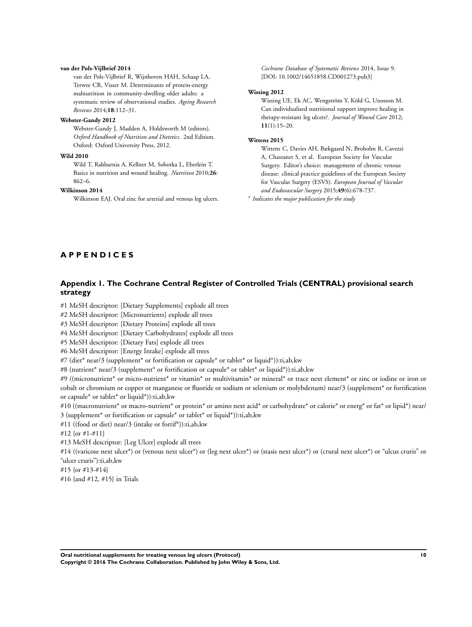### <span id="page-11-0"></span>**van der Pols-Vijlbrief 2014**

van der Pols-Vijlbrief R, Wijnhoven HAH, Schaap LA, Terwee CB, Visser M. Determinants of protein-energy malnutrition in community-dwelling older adults: a systematic review of observational studies. *Ageing Research Reviews* 2014;**18**:112–31.

## **Webster-Gandy 2012**

Webster-Gandy J, Madden A, Holdsworth M (editors). *Oxford Handbook of Nutrition and Dietetics*. 2nd Edition. Oxford: Oxford University Press, 2012.

### **Wild 2010**

Wild T, Rahbarnia A, Kellner M, Sobotka L, Eberlein T. Basics in nutrition and wound healing. *Nutrition* 2010;**26**: 862–6.

## **Wilkinson 2014**

Wilkinson EAJ. Oral zinc for arterial and venous leg ulcers.

*Cochrane Database of Systematic Reviews* 2014, Issue 9. [DOI: 10.1002/14651858.CD001273.pub3]

## **Wissing 2012**

Wissing UE, Ek AC, Wengström Y, Köld G, Unosson M. Can individualised nutritional support improve healing in therapy-resistant leg ulcers?. *Journal of Wound Care* 2012; **11**(1):15–20.

### **Wittens 2015**

Wittens C, Davies AH, Bækgaard N, Broholm R, Cavezzi A, Chastanet S, et al. European Society for Vascular Surgery. Editor's choice: management of chronic venous disease: clinical practice guidelines of the European Society for Vascular Surgery (ESVS). *European Journal of Vascular and Endovascular Surgery* 2015;**49**(6):678-737.

∗ *Indicates the major publication for the study*

# **A P P E N D I C E S**

# **Appendix 1. The Cochrane Central Register of Controlled Trials (CENTRAL) provisional search strategy**

#1 MeSH descriptor: [Dietary Supplements] explode all trees

#2 MeSH descriptor: [Micronutrients] explode all trees

#3 MeSH descriptor: [Dietary Proteins] explode all trees

#4 MeSH descriptor: [Dietary Carbohydrates] explode all trees

#5 MeSH descriptor: [Dietary Fats] explode all trees

#6 MeSH descriptor: [Energy Intake] explode all trees

#7 (diet\* near/3 (supplement\* or fortification or capsule\* or tablet\* or liquid\*)):ti,ab,kw

#8 (nutrient\* near/3 (supplement\* or fortification or capsule\* or tablet\* or liquid\*)):ti,ab,kw

#9 ((micronutrient\* or micro-nutrient\* or vitamin\* or multivitamin\* or mineral\* or trace next element\* or zinc or iodine or iron or cobalt or chromium or copper or manganese or fluoride or sodium or selenium or molybdenum) near/3 (supplement\* or fortification or capsule\* or tablet\* or liquid\*)):ti,ab,kw

#10 ((macronutrient\* or macro-nutrient\* or protein\* or amino next acid\* or carbohydrate\* or calorie\* or energ\* or fat\* or lipid\*) near/ 3 (supplement\* or fortification or capsule\* or tablet\* or liquid\*)):ti,ab,kw

#11 ((food or diet) near/3 (intake or fortif\*)):ti,ab,kw

#12 {or #1-#11}

#13 MeSH descriptor: [Leg Ulcer] explode all trees

#14 ((varicose next ulcer\*) or (venous next ulcer\*) or (leg next ulcer\*) or (stasis next ulcer\*) or (crural next ulcer\*) or "ulcus cruris" or "ulcer cruris"):ti,ab,kw

#15 {or #13-#14}

#16 {and #12, #15} in Trials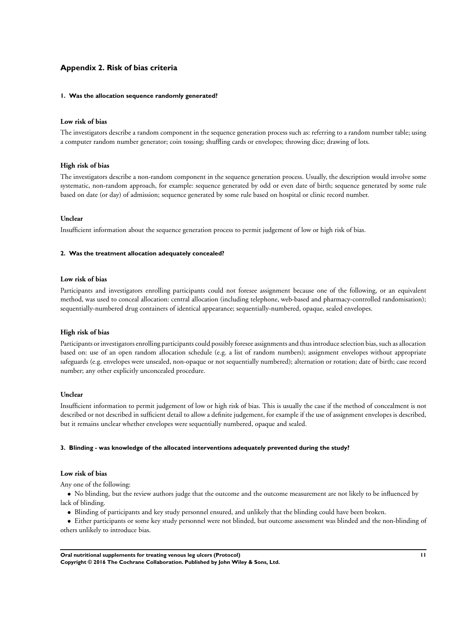# <span id="page-12-0"></span>**Appendix 2. Risk of bias criteria**

### **1. Was the allocation sequence randomly generated?**

# **Low risk of bias**

The investigators describe a random component in the sequence generation process such as: referring to a random number table; using a computer random number generator; coin tossing; shuffling cards or envelopes; throwing dice; drawing of lots.

# **High risk of bias**

The investigators describe a non-random component in the sequence generation process. Usually, the description would involve some systematic, non-random approach, for example: sequence generated by odd or even date of birth; sequence generated by some rule based on date (or day) of admission; sequence generated by some rule based on hospital or clinic record number.

### **Unclear**

Insufficient information about the sequence generation process to permit judgement of low or high risk of bias.

### **2. Was the treatment allocation adequately concealed?**

## **Low risk of bias**

Participants and investigators enrolling participants could not foresee assignment because one of the following, or an equivalent method, was used to conceal allocation: central allocation (including telephone, web-based and pharmacy-controlled randomisation); sequentially-numbered drug containers of identical appearance; sequentially-numbered, opaque, sealed envelopes.

# **High risk of bias**

Participants or investigators enrolling participants could possibly foresee assignments and thus introduce selection bias, such as allocation based on: use of an open random allocation schedule (e.g. a list of random numbers); assignment envelopes without appropriate safeguards (e.g. envelopes were unsealed, non-opaque or not sequentially numbered); alternation or rotation; date of birth; case record number; any other explicitly unconcealed procedure.

### **Unclear**

Insufficient information to permit judgement of low or high risk of bias. This is usually the case if the method of concealment is not described or not described in sufficient detail to allow a definite judgement, for example if the use of assignment envelopes is described, but it remains unclear whether envelopes were sequentially numbered, opaque and sealed.

### **3. Blinding - was knowledge of the allocated interventions adequately prevented during the study?**

### **Low risk of bias**

Any one of the following:

• No blinding, but the review authors judge that the outcome and the outcome measurement are not likely to be influenced by lack of blinding.

• Blinding of participants and key study personnel ensured, and unlikely that the blinding could have been broken.

• Either participants or some key study personnel were not blinded, but outcome assessment was blinded and the non-blinding of others unlikely to introduce bias.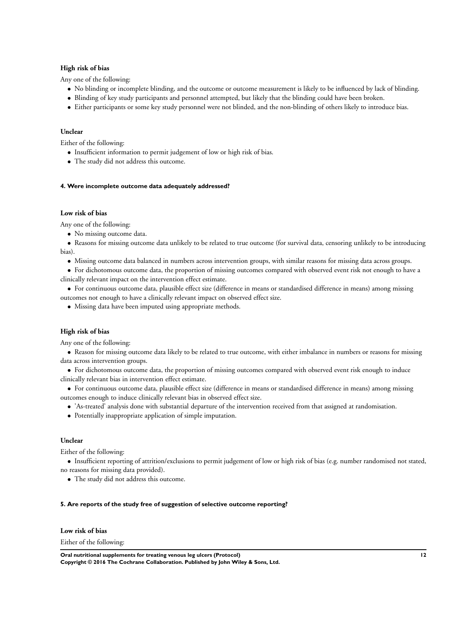# **High risk of bias**

Any one of the following:

- No blinding or incomplete blinding, and the outcome or outcome measurement is likely to be influenced by lack of blinding.
- Blinding of key study participants and personnel attempted, but likely that the blinding could have been broken.
- Either participants or some key study personnel were not blinded, and the non-blinding of others likely to introduce bias.

# **Unclear**

Either of the following:

- Insufficient information to permit judgement of low or high risk of bias.
- The study did not address this outcome.

### **4. Were incomplete outcome data adequately addressed?**

# **Low risk of bias**

Any one of the following:

• No missing outcome data.

• Reasons for missing outcome data unlikely to be related to true outcome (for survival data, censoring unlikely to be introducing bias).

• Missing outcome data balanced in numbers across intervention groups, with similar reasons for missing data across groups.

• For dichotomous outcome data, the proportion of missing outcomes compared with observed event risk not enough to have a clinically relevant impact on the intervention effect estimate.

• For continuous outcome data, plausible effect size (difference in means or standardised difference in means) among missing outcomes not enough to have a clinically relevant impact on observed effect size.

• Missing data have been imputed using appropriate methods.

# **High risk of bias**

Any one of the following:

• Reason for missing outcome data likely to be related to true outcome, with either imbalance in numbers or reasons for missing data across intervention groups.

• For dichotomous outcome data, the proportion of missing outcomes compared with observed event risk enough to induce clinically relevant bias in intervention effect estimate.

• For continuous outcome data, plausible effect size (difference in means or standardised difference in means) among missing outcomes enough to induce clinically relevant bias in observed effect size.

- 'As-treated' analysis done with substantial departure of the intervention received from that assigned at randomisation.
- Potentially inappropriate application of simple imputation.

# **Unclear**

Either of the following:

• Insufficient reporting of attrition/exclusions to permit judgement of low or high risk of bias (e.g. number randomised not stated, no reasons for missing data provided).

• The study did not address this outcome.

### **5. Are reports of the study free of suggestion of selective outcome reporting?**

# **Low risk of bias**

Either of the following:

**Oral nutritional supplements for treating venous leg ulcers (Protocol) 12 Copyright © 2016 The Cochrane Collaboration. Published by John Wiley & Sons, Ltd.**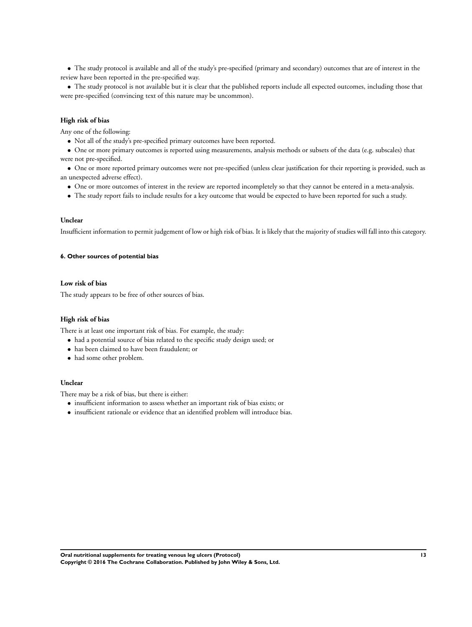• The study protocol is available and all of the study's pre-specified (primary and secondary) outcomes that are of interest in the review have been reported in the pre-specified way.

• The study protocol is not available but it is clear that the published reports include all expected outcomes, including those that were pre-specified (convincing text of this nature may be uncommon).

# **High risk of bias**

Any one of the following:

- Not all of the study's pre-specified primary outcomes have been reported.
- One or more primary outcomes is reported using measurements, analysis methods or subsets of the data (e.g. subscales) that were not pre-specified.
- One or more reported primary outcomes were not pre-specified (unless clear justification for their reporting is provided, such as an unexpected adverse effect).
	- One or more outcomes of interest in the review are reported incompletely so that they cannot be entered in a meta-analysis.
	- The study report fails to include results for a key outcome that would be expected to have been reported for such a study.

# **Unclear**

Insufficient information to permit judgement of low or high risk of bias. It is likely that the majority of studies will fall into this category.

## **6. Other sources of potential bias**

### **Low risk of bias**

The study appears to be free of other sources of bias.

# **High risk of bias**

There is at least one important risk of bias. For example, the study:

- had a potential source of bias related to the specific study design used; or
- has been claimed to have been fraudulent; or
- had some other problem.

### **Unclear**

There may be a risk of bias, but there is either:

- insufficient information to assess whether an important risk of bias exists; or
- insufficient rationale or evidence that an identified problem will introduce bias.